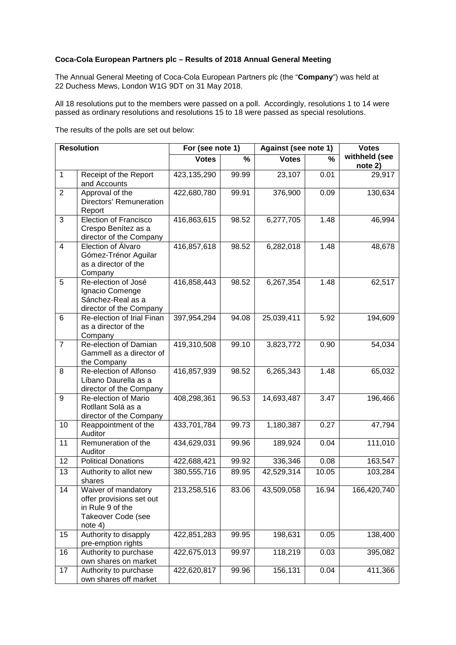## **Coca-Cola European Partners plc – Results of 2018 Annual General Meeting**

The Annual General Meeting of Coca-Cola European Partners plc (the "**Company**") was held at 22 Duchess Mews, London W1G 9DT on 31 May 2018.

All 18 resolutions put to the members were passed on a poll. Accordingly, resolutions 1 to 14 were passed as ordinary resolutions and resolutions 15 to 18 were passed as special resolutions.

The results of the polls are set out below:

| <b>Resolution</b>       |                                                                                                      | For (see note 1) |       | Against (see note 1) |               | <b>Votes</b>             |
|-------------------------|------------------------------------------------------------------------------------------------------|------------------|-------|----------------------|---------------|--------------------------|
|                         |                                                                                                      | <b>Votes</b>     | %     | <b>Votes</b>         | $\frac{0}{0}$ | withheld (see<br>note 2) |
| $\overline{1}$          | Receipt of the Report<br>and Accounts                                                                | 423,135,290      | 99.99 | 23,107               | 0.01          | 29,917                   |
| $\overline{2}$          | Approval of the<br>Directors' Remuneration<br>Report                                                 | 422,680,780      | 99.91 | 376,900              | 0.09          | 130,634                  |
| 3                       | <b>Election of Francisco</b><br>Crespo Benítez as a<br>director of the Company                       | 416,863,615      | 98.52 | 6,277,705            | 1.48          | 46,994                   |
| $\overline{\mathbf{4}}$ | Election of Álvaro<br>Gómez-Trénor Aguilar<br>as a director of the<br>Company                        | 416,857,618      | 98.52 | 6,282,018            | 1.48          | 48,678                   |
| 5                       | Re-election of José<br>Ignacio Comenge<br>Sánchez-Real as a<br>director of the Company               | 416,858,443      | 98.52 | 6,267,354            | 1.48          | 62,517                   |
| 6                       | Re-election of Irial Finan<br>as a director of the<br>Company                                        | 397,954,294      | 94.08 | 25,039,411           | 5.92          | 194,609                  |
| $\overline{7}$          | Re-election of Damian<br>Gammell as a director of<br>the Company                                     | 419,310,508      | 99.10 | 3,823,772            | 0.90          | 54,034                   |
| 8                       | Re-election of Alfonso<br>Líbano Daurella as a<br>director of the Company                            | 416,857,939      | 98.52 | 6,265,343            | 1.48          | 65,032                   |
| 9                       | Re-election of Mario<br>Rotllant Solá as a<br>director of the Company                                | 408,298,361      | 96.53 | 14,693,487           | 3.47          | 196,466                  |
| 10                      | Reappointment of the<br>Auditor                                                                      | 433,701,784      | 99.73 | 1,180,387            | 0.27          | 47,794                   |
| 11                      | Remuneration of the<br>Auditor                                                                       | 434,629,031      | 99.96 | 189,924              | 0.04          | 111,010                  |
| 12                      | <b>Political Donations</b>                                                                           | 422,688,421      | 99.92 | 336,346              | 0.08          | 163,547                  |
| 13                      | Authority to allot new<br>shares                                                                     | 380,555,716      | 89.95 | 42,529,314           | 10.05         | 103,284                  |
| 14                      | Waiver of mandatory<br>offer provisions set out<br>in Rule 9 of the<br>Takeover Code (see<br>note 4) | 213,258,516      | 83.06 | 43,509,058           | 16.94         | 166,420,740              |
| 15                      | Authority to disapply<br>pre-emption rights                                                          | 422,851,283      | 99.95 | 198,631              | 0.05          | 138,400                  |
| 16                      | Authority to purchase<br>own shares on market                                                        | 422,675,013      | 99.97 | 118,219              | 0.03          | 395,082                  |
| 17                      | Authority to purchase<br>own shares off market                                                       | 422,620,817      | 99.96 | 156,131              | 0.04          | 411,366                  |